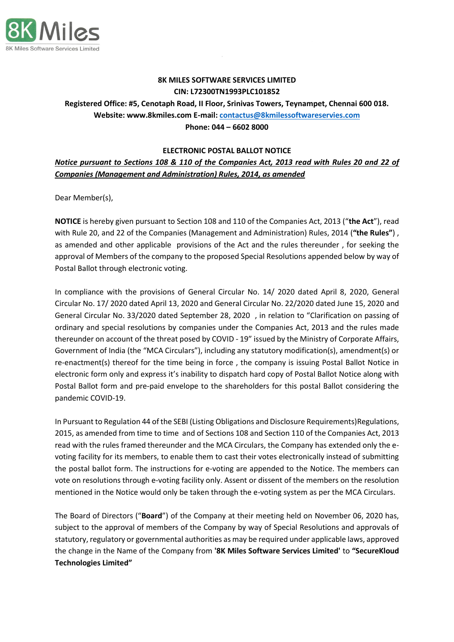

## **8K MILES SOFTWARE SERVICES LIMITED CIN: L72300TN1993PLC101852**

**Registered Office: #5, Cenotaph Road, II Floor, Srinivas Towers, Teynampet, Chennai 600 018. Website: www.8kmiles.com E-mail: [contactus@8kmilessoftwareservies.com](mailto:contactus@8kmilessoftwareservies.com) Phone: 044 – 6602 8000**

#### **ELECTRONIC POSTAL BALLOT NOTICE**

# *Notice pursuant to Sections 108 & 110 of the Companies Act, 2013 read with Rules 20 and 22 of Companies (Management and Administration) Rules, 2014, as amended*

Dear Member(s),

**NOTICE** is hereby given pursuant to Section 108 and 110 of the Companies Act, 2013 ("**the Act**"), read with Rule 20, and 22 of the Companies (Management and Administration) Rules, 2014 (**"the Rules"**) , as amended and other applicable provisions of the Act and the rules thereunder , for seeking the approval of Members of the company to the proposed Special Resolutions appended below by way of Postal Ballot through electronic voting.

In compliance with the provisions of General Circular No. 14/ 2020 dated April 8, 2020, General Circular No. 17/ 2020 dated April 13, 2020 and General Circular No. 22/2020 dated June 15, 2020 and General Circular No. 33/2020 dated September 28, 2020 , in relation to "Clarification on passing of ordinary and special resolutions by companies under the Companies Act, 2013 and the rules made thereunder on account of the threat posed by COVID - 19" issued by the Ministry of Corporate Affairs, Government of India (the "MCA Circulars"), including any statutory modification(s), amendment(s) or re-enactment(s) thereof for the time being in force , the company is issuing Postal Ballot Notice in electronic form only and express it's inability to dispatch hard copy of Postal Ballot Notice along with Postal Ballot form and pre-paid envelope to the shareholders for this postal Ballot considering the pandemic COVID-19.

In Pursuant to Regulation 44 of the SEBI (Listing Obligations and Disclosure Requirements)Regulations, 2015, as amended from time to time and of Sections 108 and Section 110 of the Companies Act, 2013 read with the rules framed thereunder and the MCA Circulars, the Company has extended only the evoting facility for its members, to enable them to cast their votes electronically instead of submitting the postal ballot form. The instructions for e-voting are appended to the Notice. The members can vote on resolutions through e-voting facility only. Assent or dissent of the members on the resolution mentioned in the Notice would only be taken through the e-voting system as per the MCA Circulars.

The Board of Directors ("**Board**") of the Company at their meeting held on November 06, 2020 has, subject to the approval of members of the Company by way of Special Resolutions and approvals of statutory, regulatory or governmental authorities as may be required under applicable laws, approved the change in the Name of the Company from **'8K Miles Software Services Limited'** to **"SecureKloud Technologies Limited"**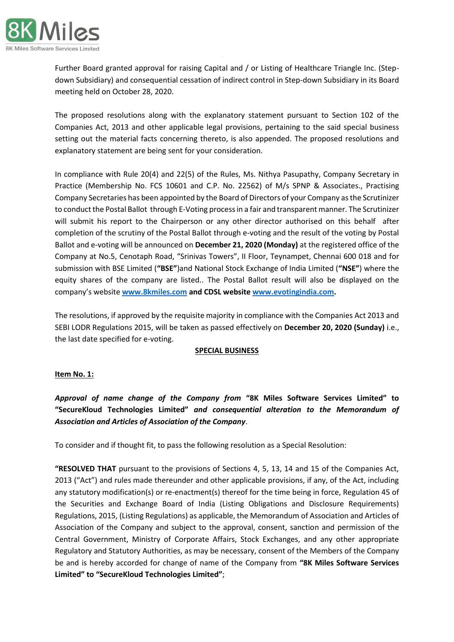

Further Board granted approval for raising Capital and / or Listing of Healthcare Triangle Inc. (Stepdown Subsidiary) and consequential cessation of indirect control in Step-down Subsidiary in its Board meeting held on October 28, 2020.

The proposed resolutions along with the explanatory statement pursuant to Section 102 of the Companies Act, 2013 and other applicable legal provisions, pertaining to the said special business setting out the material facts concerning thereto, is also appended. The proposed resolutions and explanatory statement are being sent for your consideration.

In compliance with Rule 20(4) and 22(5) of the Rules, Ms. Nithya Pasupathy, Company Secretary in Practice (Membership No. FCS 10601 and C.P. No. 22562) of M/s SPNP & Associates., Practising Company Secretaries has been appointed by the Board of Directors of your Company as the Scrutinizer to conduct the Postal Ballot through E-Voting process in a fair and transparent manner. The Scrutinizer will submit his report to the Chairperson or any other director authorised on this behalf after completion of the scrutiny of the Postal Ballot through e-voting and the result of the voting by Postal Ballot and e-voting will be announced on **December 21, 2020 (Monday)** at the registered office of the Company at No.5, Cenotaph Road, "Srinivas Towers", II Floor, Teynampet, Chennai 600 018 and for submission with BSE Limited (**"BSE"**)and National Stock Exchange of India Limited (**"NSE"**) where the equity shares of the company are listed.. The Postal Ballot result will also be displayed on the company's website **[www.8kmiles.com](http://www.8kmiles.com/) and CDSL website [www.evotingindia.com.](http://www.evotingindia.com/)**

The resolutions, if approved by the requisite majority in compliance with the Companies Act 2013 and SEBI LODR Regulations 2015, will be taken as passed effectively on **December 20, 2020 (Sunday)** i.e., the last date specified for e-voting.

# **SPECIAL BUSINESS**

# **Item No. 1:**

*Approval of name change of the Company from* **"8K Miles Software Services Limited" to "SecureKloud Technologies Limited"** *and consequential alteration to the Memorandum of Association and Articles of Association of the Company*.

To consider and if thought fit, to pass the following resolution as a Special Resolution:

**"RESOLVED THAT** pursuant to the provisions of Sections 4, 5, 13, 14 and 15 of the Companies Act, 2013 ("Act") and rules made thereunder and other applicable provisions, if any, of the Act, including any statutory modification(s) or re-enactment(s) thereof for the time being in force, Regulation 45 of the Securities and Exchange Board of India (Listing Obligations and Disclosure Requirements) Regulations, 2015, (Listing Regulations) as applicable, the Memorandum of Association and Articles of Association of the Company and subject to the approval, consent, sanction and permission of the Central Government, Ministry of Corporate Affairs, Stock Exchanges, and any other appropriate Regulatory and Statutory Authorities, as may be necessary, consent of the Members of the Company be and is hereby accorded for change of name of the Company from **"8K Miles Software Services Limited" to "SecureKloud Technologies Limited"**;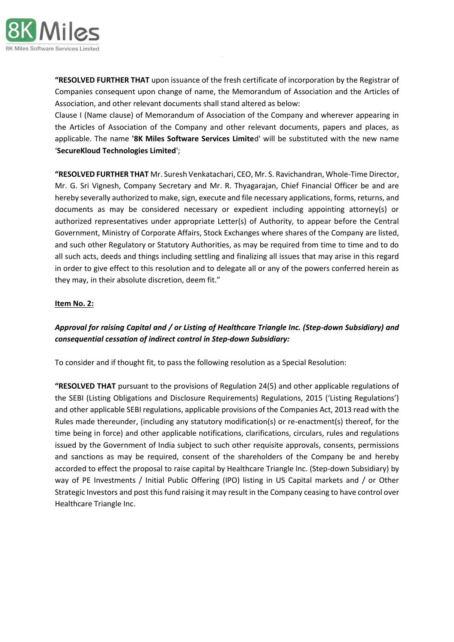

**"RESOLVED FURTHER THAT** upon issuance of the fresh certificate of incorporation by the Registrar of Companies consequent upon change of name, the Memorandum of Association and the Articles of Association, and other relevant documents shall stand altered as below:

Clause I (Name clause) of Memorandum of Association of the Company and wherever appearing in the Articles of Association of the Company and other relevant documents, papers and places, as applicable. The name **'8K Miles Software Services Limite**d' will be substituted with the new name '**SecureKloud Technologies Limited**';

**"RESOLVED FURTHER THAT** Mr. Suresh Venkatachari, CEO, Mr. S. Ravichandran, Whole-Time Director, Mr. G. Sri Vignesh, Company Secretary and Mr. R. Thyagarajan, Chief Financial Officer be and are hereby severally authorized to make, sign, execute and file necessary applications, forms, returns, and documents as may be considered necessary or expedient including appointing attorney(s) or authorized representatives under appropriate Letter(s) of Authority, to appear before the Central Government, Ministry of Corporate Affairs, Stock Exchanges where shares of the Company are listed, and such other Regulatory or Statutory Authorities, as may be required from time to time and to do all such acts, deeds and things including settling and finalizing all issues that may arise in this regard in order to give effect to this resolution and to delegate all or any of the powers conferred herein as they may, in their absolute discretion, deem fit."

## **Item No. 2:**

# *Approval for raising Capital and / or Listing of Healthcare Triangle Inc. (Step-down Subsidiary) and consequential cessation of indirect control in Step-down Subsidiary:*

To consider and if thought fit, to pass the following resolution as a Special Resolution:

**"RESOLVED THAT** pursuant to the provisions of Regulation 24(5) and other applicable regulations of the SEBI (Listing Obligations and Disclosure Requirements) Regulations, 2015 ('Listing Regulations') and other applicable SEBI regulations, applicable provisions of the Companies Act, 2013 read with the Rules made thereunder, (including any statutory modification(s) or re-enactment(s) thereof, for the time being in force) and other applicable notifications, clarifications, circulars, rules and regulations issued by the Government of India subject to such other requisite approvals, consents, permissions and sanctions as may be required, consent of the shareholders of the Company be and hereby accorded to effect the proposal to raise capital by Healthcare Triangle Inc. (Step-down Subsidiary) by way of PE Investments / Initial Public Offering (IPO) listing in US Capital markets and / or Other Strategic Investors and post this fund raising it may result in the Company ceasing to have control over Healthcare Triangle Inc.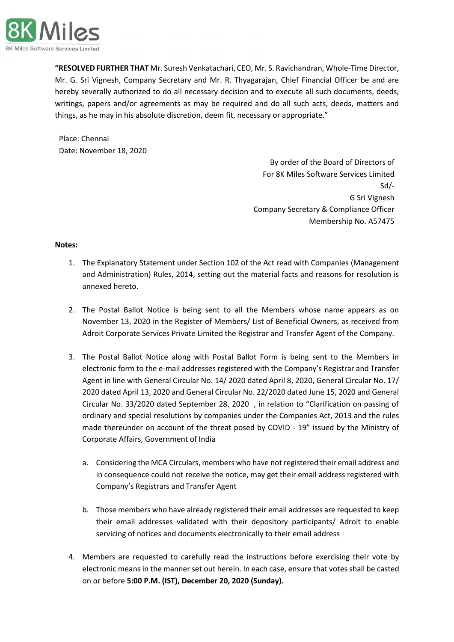

**"RESOLVED FURTHER THAT** Mr. Suresh Venkatachari, CEO, Mr. S. Ravichandran, Whole-Time Director, Mr. G. Sri Vignesh, Company Secretary and Mr. R. Thyagarajan, Chief Financial Officer be and are hereby severally authorized to do all necessary decision and to execute all such documents, deeds, writings, papers and/or agreements as may be required and do all such acts, deeds, matters and things, as he may in his absolute discretion, deem fit, necessary or appropriate."

Place: Chennai Date: November 18, 2020

> By order of the Board of Directors of For 8K Miles Software Services Limited Sd/- G Sri Vignesh Company Secretary & Compliance Officer Membership No. A57475

## **Notes:**

- 1. The Explanatory Statement under Section 102 of the Act read with Companies (Management and Administration) Rules, 2014, setting out the material facts and reasons for resolution is annexed hereto.
- 2. The Postal Ballot Notice is being sent to all the Members whose name appears as on November 13, 2020 in the Register of Members/ List of Beneficial Owners, as received from Adroit Corporate Services Private Limited the Registrar and Transfer Agent of the Company.
- 3. The Postal Ballot Notice along with Postal Ballot Form is being sent to the Members in electronic form to the e-mail addresses registered with the Company's Registrar and Transfer Agent in line with General Circular No. 14/ 2020 dated April 8, 2020, General Circular No. 17/ 2020 dated April 13, 2020 and General Circular No. 22/2020 dated June 15, 2020 and General Circular No. 33/2020 dated September 28, 2020 , in relation to "Clarification on passing of ordinary and special resolutions by companies under the Companies Act, 2013 and the rules made thereunder on account of the threat posed by COVID - 19" issued by the Ministry of Corporate Affairs, Government of India
	- a. Considering the MCA Circulars, members who have not registered their email address and in consequence could not receive the notice, may get their email address registered with Company's Registrars and Transfer Agent
	- b. Those members who have already registered their email addresses are requested to keep their email addresses validated with their depository participants/ Adroit to enable servicing of notices and documents electronically to their email address
- 4. Members are requested to carefully read the instructions before exercising their vote by electronic means in the manner set out herein. In each case, ensure that votes shall be casted on or before **5:00 P.M. (IST), December 20, 2020 (Sunday).**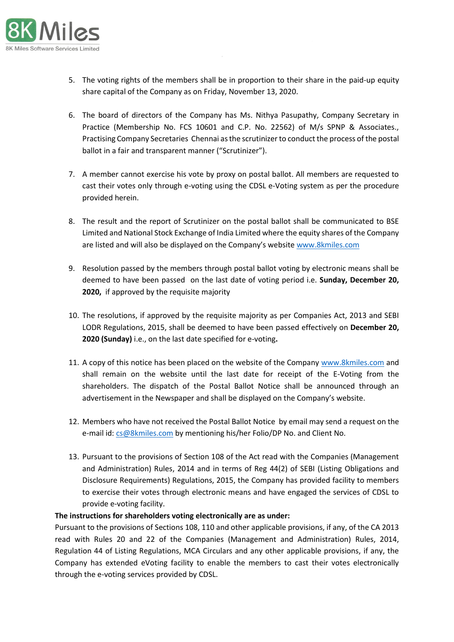

- 5. The voting rights of the members shall be in proportion to their share in the paid-up equity share capital of the Company as on Friday, November 13, 2020.
- 6. The board of directors of the Company has Ms. Nithya Pasupathy, Company Secretary in Practice (Membership No. FCS 10601 and C.P. No. 22562) of M/s SPNP & Associates., Practising Company Secretaries Chennai as the scrutinizer to conduct the process of the postal ballot in a fair and transparent manner ("Scrutinizer").
- 7. A member cannot exercise his vote by proxy on postal ballot. All members are requested to cast their votes only through e-voting using the CDSL e-Voting system as per the procedure provided herein.
- 8. The result and the report of Scrutinizer on the postal ballot shall be communicated to BSE Limited and National Stock Exchange of India Limited where the equity shares of the Company are listed and will also be displayed on the Company's website [www.8kmiles.com](http://www.8kmiles.com/)
- 9. Resolution passed by the members through postal ballot voting by electronic means shall be deemed to have been passed on the last date of voting period i.e. **Sunday, December 20, 2020,** if approved by the requisite majority
- 10. The resolutions, if approved by the requisite majority as per Companies Act, 2013 and SEBI LODR Regulations, 2015, shall be deemed to have been passed effectively on **December 20, 2020 (Sunday)** i.e., on the last date specified for e-voting**.**
- 11. A copy of this notice has been placed on the website of the Company [www.8kmiles.com](http://www.8kmiles.com/) and shall remain on the website until the last date for receipt of the E-Voting from the shareholders. The dispatch of the Postal Ballot Notice shall be announced through an advertisement in the Newspaper and shall be displayed on the Company's website.
- 12. Members who have not received the Postal Ballot Notice by email may send a request on the e-mail id:  $cs@8$ kmiles.com by mentioning his/her Folio/DP No. and Client No.
- 13. Pursuant to the provisions of Section 108 of the Act read with the Companies (Management and Administration) Rules, 2014 and in terms of Reg 44(2) of SEBI (Listing Obligations and Disclosure Requirements) Regulations, 2015, the Company has provided facility to members to exercise their votes through electronic means and have engaged the services of CDSL to provide e-voting facility.

#### **The instructions for shareholders voting electronically are as under:**

Pursuant to the provisions of Sections 108, 110 and other applicable provisions, if any, of the CA 2013 read with Rules 20 and 22 of the Companies (Management and Administration) Rules, 2014, Regulation 44 of Listing Regulations, MCA Circulars and any other applicable provisions, if any, the Company has extended eVoting facility to enable the members to cast their votes electronically through the e-voting services provided by CDSL.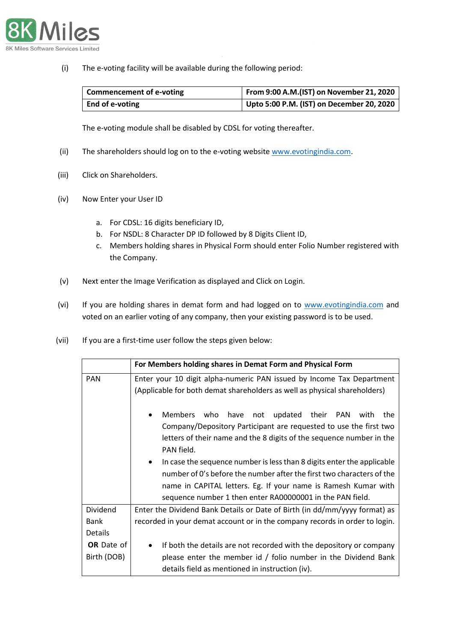

(i) The e-voting facility will be available during the following period:

| Commencement of e-voting | From 9:00 A.M.(IST) on November 21, 2020  |
|--------------------------|-------------------------------------------|
| End of e-voting          | Upto 5:00 P.M. (IST) on December 20, 2020 |

The e-voting module shall be disabled by CDSL for voting thereafter.

- (ii) The shareholders should log on to the e-voting websit[e www.evotingindia.com.](http://www.evotingindia.com/)
- (iii) Click on Shareholders.
- (iv) Now Enter your User ID
	- a. For CDSL: 16 digits beneficiary ID,
	- b. For NSDL: 8 Character DP ID followed by 8 Digits Client ID,
	- c. Members holding shares in Physical Form should enter Folio Number registered with the Company.
- (v) Next enter the Image Verification as displayed and Click on Login.
- (vi) If you are holding shares in demat form and had logged on to [www.evotingindia.com](http://www.evotingindia.com/) and voted on an earlier voting of any company, then your existing password is to be used.
- (vii) If you are a first-time user follow the steps given below:

|                   | For Members holding shares in Demat Form and Physical Form                                                                                                                                                                                                                                                                                                                                 |
|-------------------|--------------------------------------------------------------------------------------------------------------------------------------------------------------------------------------------------------------------------------------------------------------------------------------------------------------------------------------------------------------------------------------------|
| <b>PAN</b>        | Enter your 10 digit alpha-numeric PAN issued by Income Tax Department                                                                                                                                                                                                                                                                                                                      |
|                   | (Applicable for both demat shareholders as well as physical shareholders)                                                                                                                                                                                                                                                                                                                  |
|                   | who have not updated their PAN<br><b>Members</b><br>the<br>with<br>$\bullet$<br>Company/Depository Participant are requested to use the first two<br>letters of their name and the 8 digits of the sequence number in the<br>PAN field.<br>In case the sequence number is less than 8 digits enter the applicable<br>number of 0's before the number after the first two characters of the |
|                   | name in CAPITAL letters. Eg. If your name is Ramesh Kumar with<br>sequence number 1 then enter RA00000001 in the PAN field.                                                                                                                                                                                                                                                                |
| Dividend          | Enter the Dividend Bank Details or Date of Birth (in dd/mm/yyyy format) as                                                                                                                                                                                                                                                                                                                 |
| Bank              | recorded in your demat account or in the company records in order to login.                                                                                                                                                                                                                                                                                                                |
| <b>Details</b>    |                                                                                                                                                                                                                                                                                                                                                                                            |
| <b>OR</b> Date of | If both the details are not recorded with the depository or company                                                                                                                                                                                                                                                                                                                        |
| Birth (DOB)       | please enter the member id / folio number in the Dividend Bank                                                                                                                                                                                                                                                                                                                             |
|                   | details field as mentioned in instruction (iv).                                                                                                                                                                                                                                                                                                                                            |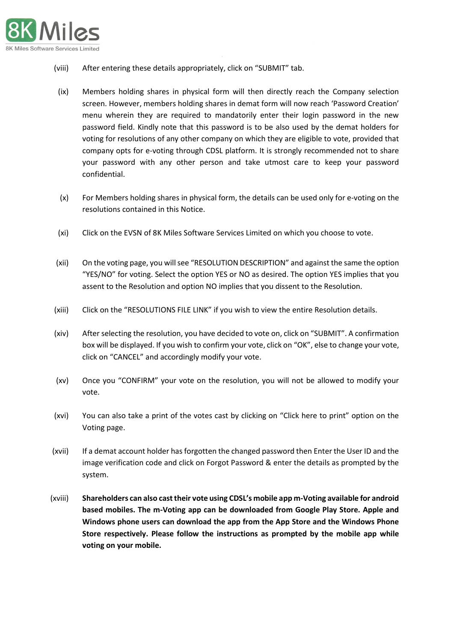

- (viii) After entering these details appropriately, click on "SUBMIT" tab.
- (ix) Members holding shares in physical form will then directly reach the Company selection screen. However, members holding shares in demat form will now reach 'Password Creation' menu wherein they are required to mandatorily enter their login password in the new password field. Kindly note that this password is to be also used by the demat holders for voting for resolutions of any other company on which they are eligible to vote, provided that company opts for e-voting through CDSL platform. It is strongly recommended not to share your password with any other person and take utmost care to keep your password confidential.
- (x) For Members holding shares in physical form, the details can be used only for e-voting on the resolutions contained in this Notice.
- (xi) Click on the EVSN of 8K Miles Software Services Limited on which you choose to vote.
- (xii) On the voting page, you will see "RESOLUTION DESCRIPTION" and against the same the option "YES/NO" for voting. Select the option YES or NO as desired. The option YES implies that you assent to the Resolution and option NO implies that you dissent to the Resolution.
- (xiii) Click on the "RESOLUTIONS FILE LINK" if you wish to view the entire Resolution details.
- (xiv) After selecting the resolution, you have decided to vote on, click on "SUBMIT". A confirmation box will be displayed. If you wish to confirm your vote, click on "OK", else to change your vote, click on "CANCEL" and accordingly modify your vote.
- (xv) Once you "CONFIRM" your vote on the resolution, you will not be allowed to modify your vote.
- (xvi) You can also take a print of the votes cast by clicking on "Click here to print" option on the Voting page.
- (xvii) If a demat account holder has forgotten the changed password then Enter the User ID and the image verification code and click on Forgot Password & enter the details as prompted by the system.
- (xviii) **Shareholders can also cast their vote using CDSL's mobile app m-Voting available for android based mobiles. The m-Voting app can be downloaded from Google Play Store. Apple and Windows phone users can download the app from the App Store and the Windows Phone Store respectively. Please follow the instructions as prompted by the mobile app while voting on your mobile.**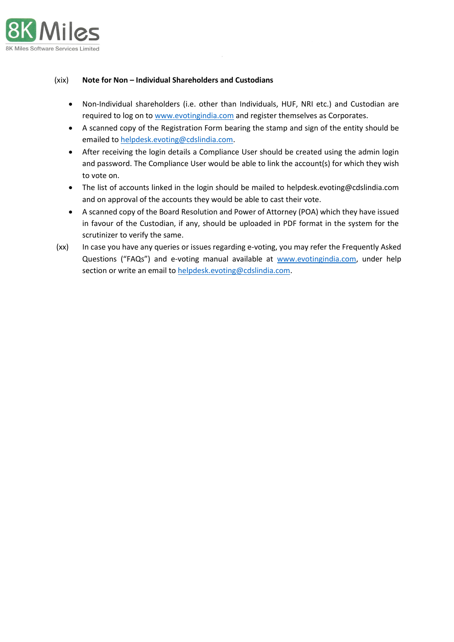

## (xix) **Note for Non – Individual Shareholders and Custodians**

- Non-Individual shareholders (i.e. other than Individuals, HUF, NRI etc.) and Custodian are required to log on to [www.evotingindia.com](http://www.evotingindia.com/) and register themselves as Corporates.
- A scanned copy of the Registration Form bearing the stamp and sign of the entity should be emailed to [helpdesk.evoting@cdslindia.com.](mailto:helpdesk.evoting@cdslindia.com)
- After receiving the login details a Compliance User should be created using the admin login and password. The Compliance User would be able to link the account(s) for which they wish to vote on.
- The list of accounts linked in the login should be mailed to helpdesk.evoting@cdslindia.com and on approval of the accounts they would be able to cast their vote.
- A scanned copy of the Board Resolution and Power of Attorney (POA) which they have issued in favour of the Custodian, if any, should be uploaded in PDF format in the system for the scrutinizer to verify the same.
- (xx) In case you have any queries or issues regarding e-voting, you may refer the Frequently Asked Questions ("FAQs") and e-voting manual available at [www.evotingindia.com,](http://www.evotingindia.com/) under help section or write an email to [helpdesk.evoting@cdslindia.com.](mailto:helpdesk.evoting@cdslindia.com)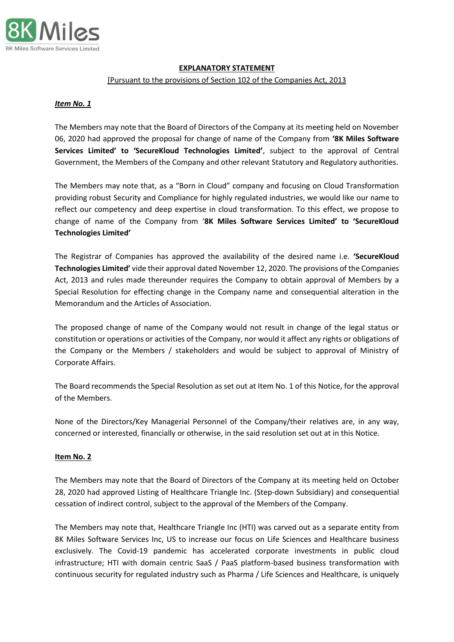

## **EXPLANATORY STATEMENT**

#### [Pursuant to the provisions of Section 102 of the Companies Act, 2013

#### *Item No. 1*

The Members may note that the Board of Directors of the Company at its meeting held on November 06, 2020 had approved the proposal for change of name of the Company from **'8K Miles Software Services Limited' to 'SecureKloud Technologies Limited'**, subject to the approval of Central Government, the Members of the Company and other relevant Statutory and Regulatory authorities.

The Members may note that, as a "Born in Cloud" company and focusing on Cloud Transformation providing robust Security and Compliance for highly regulated industries, we would like our name to reflect our competency and deep expertise in cloud transformation. To this effect, we propose to change of name of the Company from '**8K Miles Software Services Limited' to 'SecureKloud Technologies Limited'**

The Registrar of Companies has approved the availability of the desired name i.e. **'SecureKloud Technologies Limited'** vide their approval dated November 12, 2020. The provisions of the Companies Act, 2013 and rules made thereunder requires the Company to obtain approval of Members by a Special Resolution for effecting change in the Company name and consequential alteration in the Memorandum and the Articles of Association.

The proposed change of name of the Company would not result in change of the legal status or constitution or operations or activities of the Company, nor would it affect any rights or obligations of the Company or the Members / stakeholders and would be subject to approval of Ministry of Corporate Affairs.

The Board recommends the Special Resolution as set out at Item No. 1 of this Notice, for the approval of the Members.

None of the Directors/Key Managerial Personnel of the Company/their relatives are, in any way, concerned or interested, financially or otherwise, in the said resolution set out at in this Notice.

#### **Item No. 2**

The Members may note that the Board of Directors of the Company at its meeting held on October 28, 2020 had approved Listing of Healthcare Triangle Inc. (Step-down Subsidiary) and consequential cessation of indirect control, subject to the approval of the Members of the Company.

The Members may note that, Healthcare Triangle Inc (HTI) was carved out as a separate entity from 8K Miles Software Services Inc, US to increase our focus on Life Sciences and Healthcare business exclusively. The Covid-19 pandemic has accelerated corporate investments in public cloud infrastructure; HTI with domain centric SaaS / PaaS platform-based business transformation with continuous security for regulated industry such as Pharma / Life Sciences and Healthcare, is uniquely